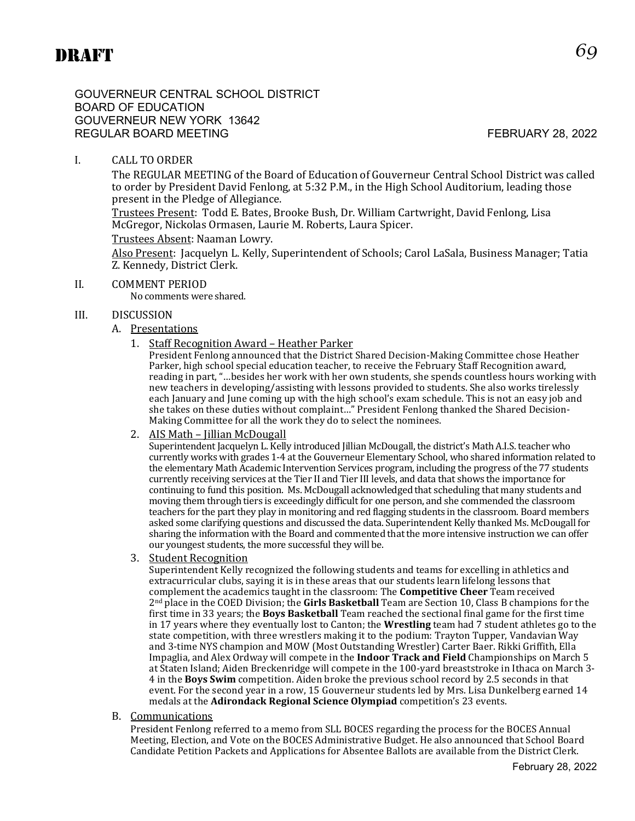GOUVERNEUR CENTRAL SCHOOL DISTRICT BOARD OF EDUCATION GOUVERNEUR NEW YORK 13642 REGULAR BOARD MEETING FEBRUARY 28, 2022

# I. CALL TO ORDER

The REGULAR MEETING of the Board of Education of Gouverneur Central School District was called to order by President David Fenlong, at 5:32 P.M., in the High School Auditorium, leading those present in the Pledge of Allegiance.

Trustees Present: Todd E. Bates, Brooke Bush, Dr. William Cartwright, David Fenlong, Lisa McGregor, Nickolas Ormasen, Laurie M. Roberts, Laura Spicer.

#### Trustees Absent: Naaman Lowry.

Also Present: Jacquelyn L. Kelly, Superintendent of Schools; Carol LaSala, Business Manager; Tatia Z. Kennedy, District Clerk.

#### II. COMMENT PERIOD

No comments were shared.

#### III. DISCUSSION

#### A. Presentations

1. Staff Recognition Award – Heather Parker

President Fenlong announced that the District Shared Decision-Making Committee chose Heather Parker, high school special education teacher, to receive the February Staff Recognition award, reading in part, "…besides her work with her own students, she spends countless hours working with new teachers in developing/assisting with lessons provided to students. She also works tirelessly each January and June coming up with the high school's exam schedule. This is not an easy job and she takes on these duties without complaint…" President Fenlong thanked the Shared Decision-Making Committee for all the work they do to select the nominees.

#### 2. AIS Math – Jillian McDougall

Superintendent Jacquelyn L. Kelly introduced Jillian McDougall, the district's Math A.I.S. teacher who currently works with grades 1-4 at the Gouverneur Elementary School, who shared information related to the elementary Math Academic Intervention Services program, including the progress of the 77 students currently receiving services at the Tier II and Tier III levels, and data that shows the importance for continuing to fund this position. Ms. McDougall acknowledged that scheduling that many students and moving them through tiers is exceedingly difficult for one person, and she commended the classroom teachers for the part they play in monitoring and red flagging students in the classroom. Board members asked some clarifying questions and discussed the data. Superintendent Kelly thanked Ms. McDougall for sharing the information with the Board and commented that the more intensive instruction we can offer our youngest students, the more successful they will be.

3. Student Recognition

Superintendent Kelly recognized the following students and teams for excelling in athletics and extracurricular clubs, saying it is in these areas that our students learn lifelong lessons that complement the academics taught in the classroom: The **Competitive Cheer** Team received 2nd place in the COED Division; the **Girls Basketball** Team are Section 10, Class B champions for the first time in 33 years; the **Boys Basketball** Team reached the sectional final game for the first time in 17 years where they eventually lost to Canton; the **Wrestling** team had 7 student athletes go to the state competition, with three wrestlers making it to the podium: Trayton Tupper, Vandavian Way and 3-time NYS champion and MOW (Most Outstanding Wrestler) Carter Baer. Rikki Griffith, Ella Impaglia, and Alex Ordway will compete in the **Indoor Track and Field** Championships on March 5 at Staten Island; Aiden Breckenridge will compete in the 100-yard breaststroke in Ithaca on March 3- 4 in the **Boys Swim** competition. Aiden broke the previous school record by 2.5 seconds in that event. For the second year in a row, 15 Gouverneur students led by Mrs. Lisa Dunkelberg earned 14 medals at the **Adirondack Regional Science Olympiad** competition's 23 events.

B. Communications

President Fenlong referred to a memo from SLL BOCES regarding the process for the BOCES Annual Meeting, Election, and Vote on the BOCES Administrative Budget. He also announced that School Board Candidate Petition Packets and Applications for Absentee Ballots are available from the District Clerk.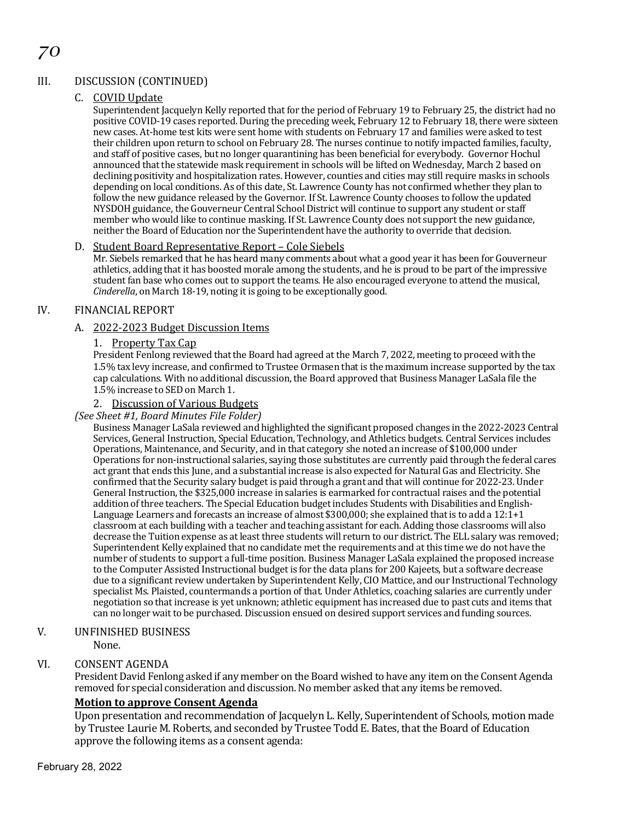# III. DISCUSSION (CONTINUED)

### C. COVID Update

Superintendent Jacquelyn Kelly reported that for the period of February 19 to February 25, the district had no positive COVID-19 cases reported. During the preceding week, February 12 to February 18, there were sixteen new cases. At-home test kits were sent home with students on February 17 and families were asked to test their children upon return to school on February 28. The nurses continue to notify impacted families, faculty, and staff of positive cases, but no longer quarantining has been beneficial for everybody. Governor Hochul announced that the statewide mask requirement in schools will be lifted on Wednesday, March 2 based on declining positivity and hospitalization rates. However, counties and cities may still require masks in schools depending on local conditions. As of this date, St. Lawrence County has not confirmed whether they plan to follow the new guidance released by the Governor. If St. Lawrence County chooses to follow the updated NYSDOH guidance, the Gouverneur Central School District will continue to support any student or staff member who would like to continue masking. If St. Lawrence County does not support the new guidance, neither the Board of Education nor the Superintendent have the authority to override that decision.

#### D. Student Board Representative Report – Cole Siebels

Mr. Siebels remarked that he has heard many comments about what a good year it has been for Gouverneur athletics, adding that it has boosted morale among the students, and he is proud to be part of the impressive student fan base who comes out to support the teams. He also encouraged everyone to attend the musical, *Cinderella*, on March 18-19, noting it is going to be exceptionally good.

## IV. FINANCIAL REPORT

#### A. 2022-2023 Budget Discussion Items

#### 1. Property Tax Cap

President Fenlong reviewed that the Board had agreed at the March 7, 2022, meeting to proceed with the 1.5% tax levy increase, and confirmed to Trustee Ormasen that is the maximum increase supported by the tax cap calculations. With no additional discussion, the Board approved that Business Manager LaSala file the 1.5% increase to SED on March 1.

#### 2. Discussion of Various Budgets

#### *(See Sheet #1, Board Minutes File Folder)*

Business Manager LaSala reviewed and highlighted the significant proposed changes in the 2022-2023 Central Services, General Instruction, Special Education, Technology, and Athletics budgets. Central Services includes Operations, Maintenance, and Security, and in that category she noted an increase of \$100,000 under Operations for non-instructional salaries, saying those substitutes are currently paid through the federal cares act grant that ends this June, and a substantial increase is also expected for Natural Gas and Electricity. She confirmed that the Security salary budget is paid through a grant and that will continue for 2022-23. Under General Instruction, the \$325,000 increase in salaries is earmarked for contractual raises and the potential addition of three teachers. The Special Education budget includes Students with Disabilities and English-Language Learners and forecasts an increase of almost \$300,000; she explained that is to add a 12:1+1 classroom at each building with a teacher and teaching assistant for each. Adding those classrooms will also decrease the Tuition expense as at least three students will return to our district. The ELL salary was removed; Superintendent Kelly explained that no candidate met the requirements and at this time we do not have the number of students to support a full-time position. Business Manager LaSala explained the proposed increase to the Computer Assisted Instructional budget is for the data plans for 200 Kajeets, but a software decrease due to a significant review undertaken by Superintendent Kelly, CIO Mattice, and our Instructional Technology specialist Ms. Plaisted, countermands a portion of that. Under Athletics, coaching salaries are currently under negotiation so that increase is yet unknown; athletic equipment has increased due to past cuts and items that can no longer wait to be purchased. Discussion ensued on desired support services and funding sources.

# V. UNFINISHED BUSINESS

None.

## VI. CONSENT AGENDA

President David Fenlong asked if any member on the Board wished to have any item on the Consent Agenda removed for special consideration and discussion. No member asked that any items be removed.

## **Motion to approve Consent Agenda**

Upon presentation and recommendation of Jacquelyn L. Kelly, Superintendent of Schools, motion made by Trustee Laurie M. Roberts, and seconded by Trustee Todd E. Bates, that the Board of Education approve the following items as a consent agenda: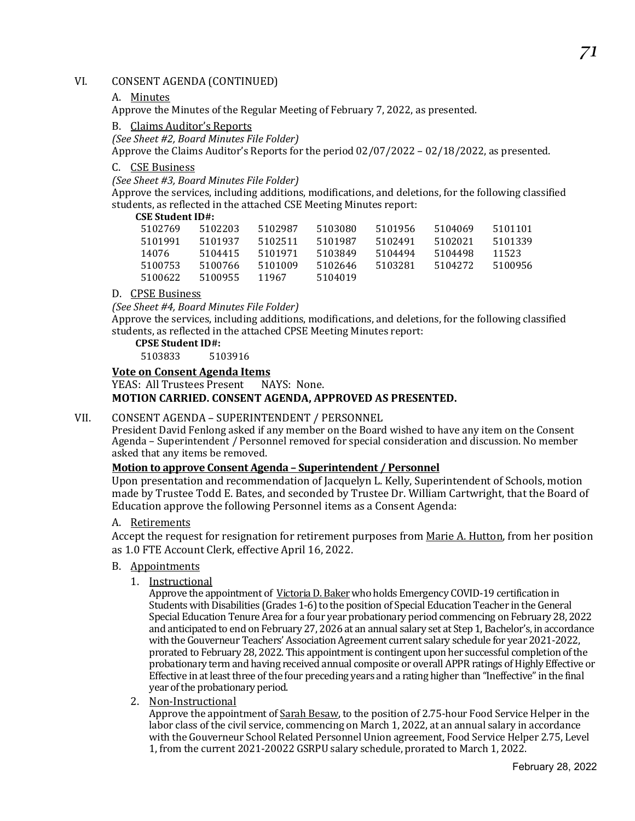# VI. CONSENT AGENDA (CONTINUED)

#### A. Minutes

Approve the Minutes of the Regular Meeting of February 7, 2022, as presented.

#### B. Claims Auditor's Reports

*(See Sheet #2, Board Minutes File Folder)*

Approve the Claims Auditor's Reports for the period 02/07/2022 – 02/18/2022, as presented.

#### C. CSE Business

*(See Sheet #3, Board Minutes File Folder)*

Approve the services, including additions, modifications, and deletions, for the following classified students, as reflected in the attached CSE Meeting Minutes report:

#### **CSE Student ID#:**

| 5102769 | 5102203 | 5102987 | 5103080 | 5101956 | 5104069 | 5101101 |
|---------|---------|---------|---------|---------|---------|---------|
| 5101991 | 5101937 | 5102511 | 5101987 | 5102491 | 5102021 | 5101339 |
| 14076   | 5104415 | 5101971 | 5103849 | 5104494 | 5104498 | 11523   |
| 5100753 | 5100766 | 5101009 | 5102646 | 5103281 | 5104272 | 5100956 |
| 5100622 | 5100955 | 11967   | 5104019 |         |         |         |
|         |         |         |         |         |         |         |

#### D. CPSE Business

*(See Sheet #4, Board Minutes File Folder)*

Approve the services, including additions, modifications, and deletions, for the following classified students, as reflected in the attached CPSE Meeting Minutes report:

**CPSE Student ID#:**

5103833 5103916

#### **Vote on Consent Agenda Items**

YEAS: All Trustees Present NAYS: None. **MOTION CARRIED. CONSENT AGENDA, APPROVED AS PRESENTED.**

#### VII. CONSENT AGENDA – SUPERINTENDENT / PERSONNEL

President David Fenlong asked if any member on the Board wished to have any item on the Consent Agenda – Superintendent / Personnel removed for special consideration and discussion. No member asked that any items be removed.

#### **Motion to approve Consent Agenda – Superintendent / Personnel**

Upon presentation and recommendation of Jacquelyn L. Kelly, Superintendent of Schools, motion made by Trustee Todd E. Bates, and seconded by Trustee Dr. William Cartwright, that the Board of Education approve the following Personnel items as a Consent Agenda:

#### A. Retirements

Accept the request for resignation for retirement purposes from Marie A. Hutton, from her position as 1.0 FTE Account Clerk, effective April 16, 2022.

#### B. Appointments

1. Instructional

Approve the appointment of Victoria D. Bakerwho holds Emergency COVID-19 certification in Students with Disabilities (Grades 1-6) to the position of Special Education Teacher in the General Special Education Tenure Area for a four year probationary period commencing on February 28, 2022 and anticipated to end on February 27, 2026 at an annual salary set at Step 1, Bachelor's, in accordance with the Gouverneur Teachers' Association Agreement current salary schedule for year 2021-2022, prorated to February 28, 2022. This appointment is contingent upon her successful completion of the probationary term and having received annual composite or overall APPR ratings of Highly Effective or Effective in at least three of the four preceding years and a rating higher than "Ineffective" in the final year of the probationary period.

2. Non-Instructional

Approve the appointment of Sarah Besaw, to the position of 2.75-hour Food Service Helper in the labor class of the civil service, commencing on March 1, 2022, at an annual salary in accordance with the Gouverneur School Related Personnel Union agreement, Food Service Helper 2.75, Level 1, from the current 2021-20022 GSRPU salary schedule, prorated to March 1, 2022.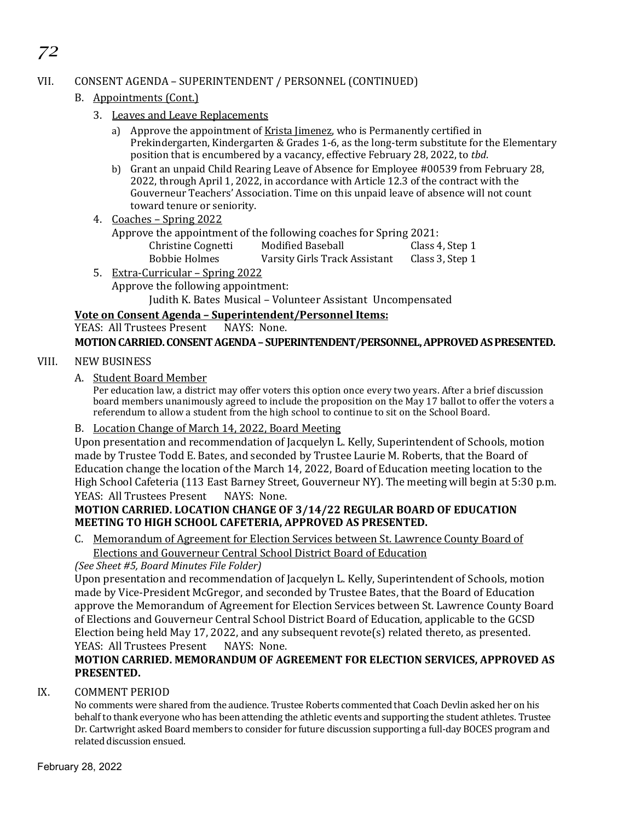# VII. CONSENT AGENDA – SUPERINTENDENT / PERSONNEL (CONTINUED)

# B. Appointments (Cont.)

*72*

- 3. Leaves and Leave Replacements
	- a) Approve the appointment of Krista Jimenez, who is Permanently certified in Prekindergarten, Kindergarten & Grades 1-6, as the long-term substitute for the Elementary position that is encumbered by a vacancy, effective February 28, 2022, to *tbd*.
	- b) Grant an unpaid Child Rearing Leave of Absence for Employee #00539 from February 28, 2022, through April 1, 2022, in accordance with Article 12.3 of the contract with the Gouverneur Teachers' Association. Time on this unpaid leave of absence will not count toward tenure or seniority.
- 4. Coaches Spring 2022

|                      | Approve the appointment of the following coaches for Spring 2021: |                 |
|----------------------|-------------------------------------------------------------------|-----------------|
| Christine Cognetti   | Modified Baseball                                                 | Class 4, Step 1 |
| <b>Bobbie Holmes</b> | Varsity Girls Track Assistant                                     | Class 3, Step 1 |

5. Extra-Curricular – Spring 2022 Approve the following appointment: Judith K. Bates Musical – Volunteer Assistant Uncompensated

# **Vote on Consent Agenda – Superintendent/Personnel Items:**

YEAS: All Trustees Present NAYS: None. **MOTION CARRIED. CONSENT AGENDA– SUPERINTENDENT/PERSONNEL,APPROVED AS PRESENTED.**

# VIII. NEW BUSINESS

A. Student Board Member

Per education law, a district may offer voters this option once every two years. After a brief discussion board members unanimously agreed to include the proposition on the May 17 ballot to offer the voters a referendum to allow a student from the high school to continue to sit on the School Board.

B. Location Change of March 14, 2022, Board Meeting

Upon presentation and recommendation of Jacquelyn L. Kelly, Superintendent of Schools, motion made by Trustee Todd E. Bates, and seconded by Trustee Laurie M. Roberts, that the Board of Education change the location of the March 14, 2022, Board of Education meeting location to the High School Cafeteria (113 East Barney Street, Gouverneur NY). The meeting will begin at 5:30 p.m. YEAS: All Trustees Present

# **MOTION CARRIED. LOCATION CHANGE OF 3/14/22 REGULAR BOARD OF EDUCATION MEETING TO HIGH SCHOOL CAFETERIA, APPROVED AS PRESENTED.**

C. Memorandum of Agreement for Election Services between St. Lawrence County Board of Elections and Gouverneur Central School District Board of Education

## *(See Sheet #5, Board Minutes File Folder)*

Upon presentation and recommendation of Jacquelyn L. Kelly, Superintendent of Schools, motion made by Vice-President McGregor, and seconded by Trustee Bates, that the Board of Education approve the Memorandum of Agreement for Election Services between St. Lawrence County Board of Elections and Gouverneur Central School District Board of Education, applicable to the GCSD Election being held May 17, 2022, and any subsequent revote(s) related thereto, as presented. YEAS: All Trustees Present

# **MOTION CARRIED. MEMORANDUM OF AGREEMENT FOR ELECTION SERVICES, APPROVED AS PRESENTED.**

# IX. COMMENT PERIOD

No comments were shared from the audience. Trustee Roberts commented that Coach Devlin asked her on his behalf to thank everyone who has been attending the athletic events and supporting the student athletes. Trustee Dr. Cartwright asked Board members to consider for future discussion supporting a full-day BOCES program and related discussion ensued.